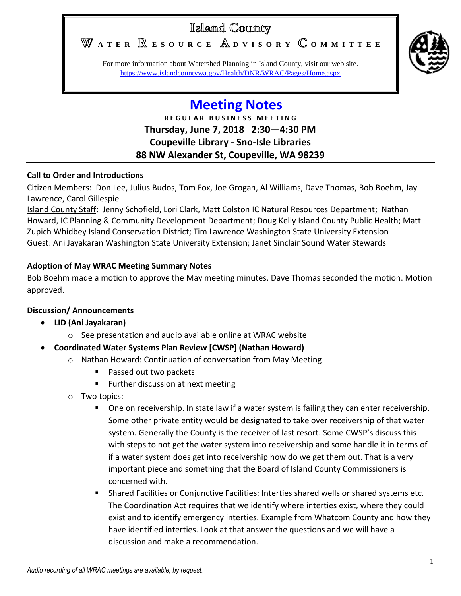## Islamd County

WATER **RESOURCE** ADVISORY COMMITTEE



For more information about Watershed Planning in Island County, visit our web site. <https://www.islandcountywa.gov/Health/DNR/WRAC/Pages/Home.aspx>

# **Meeting Notes**

**R E G U L A R B U S I N E S S M E E T I N G Thursday, June 7, 2018 2:30—4:30 PM Coupeville Library - Sno-Isle Libraries 88 NW Alexander St, Coupeville, WA 98239**

#### **Call to Order and Introductions**

Citizen Members: Don Lee, Julius Budos, Tom Fox, Joe Grogan, Al Williams, Dave Thomas, Bob Boehm, Jay Lawrence, Carol Gillespie

Island County Staff: Jenny Schofield, Lori Clark, Matt Colston IC Natural Resources Department; Nathan Howard, IC Planning & Community Development Department; Doug Kelly Island County Public Health; Matt Zupich Whidbey Island Conservation District; Tim Lawrence Washington State University Extension Guest: Ani Jayakaran Washington State University Extension; Janet Sinclair Sound Water Stewards

#### **Adoption of May WRAC Meeting Summary Notes**

Bob Boehm made a motion to approve the May meeting minutes. Dave Thomas seconded the motion. Motion approved.

#### **Discussion/ Announcements**

- **LID (Ani Jayakaran)**
	- o See presentation and audio available online at WRAC website
- **Coordinated Water Systems Plan Review [CWSP] (Nathan Howard)**
	- o Nathan Howard: Continuation of conversation from May Meeting
		- Passed out two packets
		- **Further discussion at next meeting**
	- o Two topics:
		- **Diamage 1.5 The State Lange is a light in State 1** one one one one or the seculership.  $\blacksquare$ Some other private entity would be designated to take over receivership of that water system. Generally the County is the receiver of last resort. Some CWSP's discuss this with steps to not get the water system into receivership and some handle it in terms of if a water system does get into receivership how do we get them out. That is a very important piece and something that the Board of Island County Commissioners is concerned with.
		- Shared Facilities or Conjunctive Facilities: Interties shared wells or shared systems etc. The Coordination Act requires that we identify where interties exist, where they could exist and to identify emergency interties. Example from Whatcom County and how they have identified interties. Look at that answer the questions and we will have a discussion and make a recommendation.